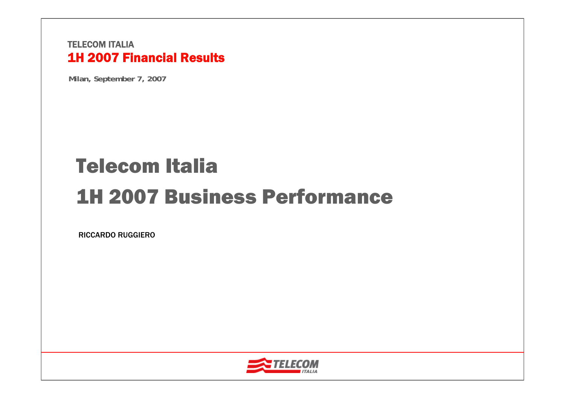**Milan, September 7, 2007**

# Telecom Italia1H 2007 Business Performance

RICCARDO RUGGIERO

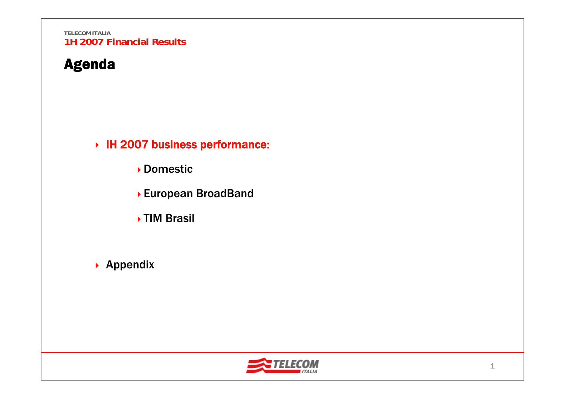# Agenda

IH 2007 business performance:

- Domestic
- European BroadBand
- **▶TIM Brasil**
- ▶ Appendix

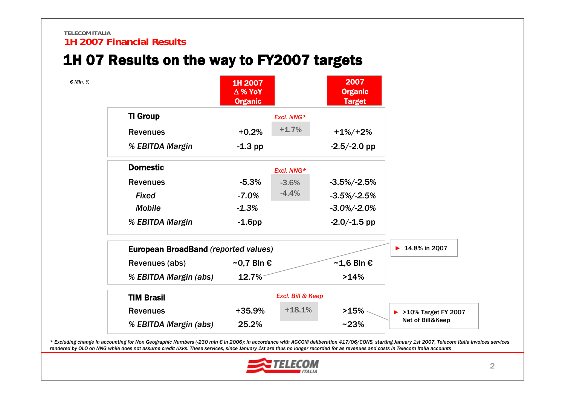# 1H 07 Results on the way to FY2007 targets



\* Excluding change in accounting for Non Geographic Numbers (-230 mln € in 2006); In accordance with AGCOM deliberation 417/06/CONS, starting January 1st 2007. Telecom Italia invoices services rendered by OLO on NNG while does not assume credit risks. These services, since January 1st are thus no longer recorded for as revenues and costs in Telecom Italia accounts

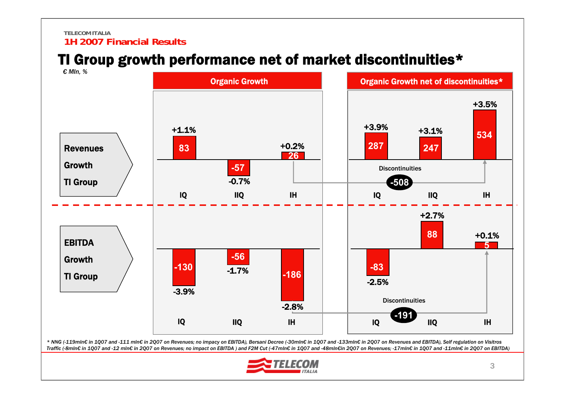# TI Group growth performance net of market discontinuities\*



\* NNG (-119mln€ in 1Q07 and -111 mln€ in 2Q07 on Revenues; no impacy on EBITDA), Bersani Decree (-30mln€ in 1Q07 and -133mln€ in 2Q07 on Revenues and EBITDA), Self regulation on Visitros Traffic (-8mln€ in 1Q07 and -12 mln€ in 2Q07 on Revenues; no impact on EBITDA) and F2M Cut (-47mln€ in 1Q07 and -48mln€in 2Q07 on Revenues; -17mln€ in 1Q07 and -11mln€ in 2Q07 on EBITDA)

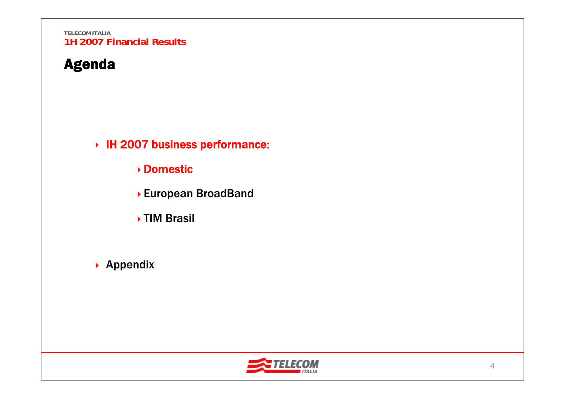# Agenda

IH 2007 business performance:

Domestic

- European BroadBand
- **▶TIM Brasil**
- ▶ Appendix

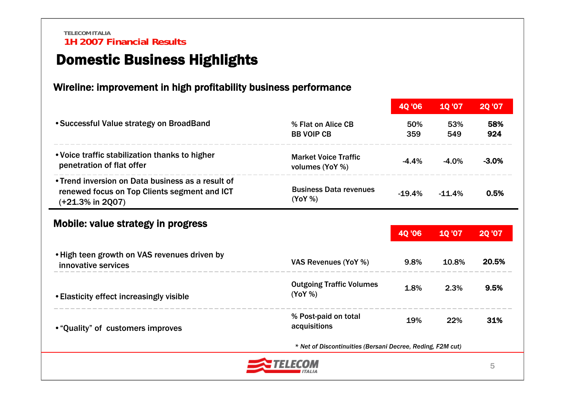# Domestic Business Highlights

#### Wireline: improvement in high profitability business performance

|                                                                                                                          |                                                | 40 '06        | <b>10'07</b> | <b>20 '07</b> |
|--------------------------------------------------------------------------------------------------------------------------|------------------------------------------------|---------------|--------------|---------------|
| • Successful Value strategy on BroadBand                                                                                 | % Flat on Alice CB<br><b>BB VOIP CB</b>        | 50%<br>359    | 53%<br>549   | 58%<br>924    |
| . Voice traffic stabilization thanks to higher<br>penetration of flat offer                                              | <b>Market Voice Traffic</b><br>volumes (YoY %) | $-4.4%$       | $-4.0%$      | $-3.0%$       |
| • Trend inversion on Data business as a result of<br>renewed focus on Top Clients segment and ICT<br>$(+21.3\%$ in 2Q07) | <b>Business Data revenues</b><br>(YoY %)       | $-19.4%$      | $-11.4%$     | 0.5%          |
| Mobile: value strategy in progress                                                                                       |                                                | <b>40 '06</b> | 10'07        | <b>20 '07</b> |
| . High teen growth on VAS revenues driven by<br>innovative services                                                      | VAS Revenues (YoY %)                           | 9.8%          | 10.8%        | 20.5%         |
| • Elasticity effect increasingly visible                                                                                 | <b>Outgoing Traffic Volumes</b><br>(YoY %)     | 1.8%          | 2.3%         | 9.5%          |
|                                                                                                                          | % Post-paid on total                           | 19%           | 22%          | 31%           |
| • "Quality" of customers improves                                                                                        | acquisitions                                   |               |              |               |

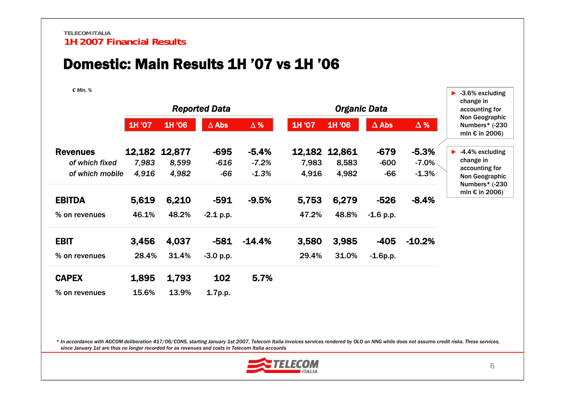### Domestic: Main Results 1H '07 vs 1H '06

*€ Mln, %*

| $v$ $\cdots$ $\cdots$ |        |               | <b>Reported Data</b> |            |        | <b>Organic Data</b> |              |            | $\blacktriangleright$ 3.6% excluding<br>change in<br>accounting for |
|-----------------------|--------|---------------|----------------------|------------|--------|---------------------|--------------|------------|---------------------------------------------------------------------|
|                       | 1H '07 | 1H '06        | $\Delta$ Abs         | $\Delta$ % | 1H '07 | 1H '06              | $\Delta$ Abs | $\Delta$ % | Non Geographic<br>Numbers* (-230<br>mln $\epsilon$ in 2006)         |
| <b>Revenues</b>       |        | 12,182 12,877 | -695                 | $-5.4%$    | 12,182 | 12,861              | $-679$       | $-5.3%$    | $\blacktriangleright$ -4.4% excluding                               |
| of which fixed        | 7,983  | 8,599         | $-616$               | $-7.2%$    | 7,983  | 8,583               | $-600$       | $-7.0\%$   | change in<br>accounting for                                         |
| of which mobile       | 4,916  | 4,982         | $-66$                | $-1.3%$    | 4,916  | 4,982               | $-66$        | $-1.3%$    | Non Geographic<br>Numbers* (-230                                    |
| <b>EBITDA</b>         | 5,619  | 6,210         | $-591$               | $-9.5%$    | 5,753  | 6,279               | $-526$       | $-8.4%$    | mln $\epsilon$ in 2006)                                             |
| % on revenues         | 46.1%  | 48.2%         | $-2.1$ p.p.          |            | 47.2%  | 48.8%               | $-1.6$ p.p.  |            |                                                                     |
| <b>EBIT</b>           | 3,456  | 4,037         | $-581$               | $-14.4%$   | 3,580  | 3,985               | $-405$       | $-10.2%$   |                                                                     |
| % on revenues         | 28.4%  | 31.4%         | $-3.0 p.p.$          |            | 29.4%  | 31.0%               | $-1.6p.p.$   |            |                                                                     |
| <b>CAPEX</b>          | 1,895  | 1,793         | 102                  | 5.7%       |        |                     |              |            |                                                                     |
| % on revenues         | 15.6%  | 13.9%         | 1.7p.p.              |            |        |                     |              |            |                                                                     |

*\* In accordance with AGCOM deliberation 417/06/CONS, starting January 1st 2007, Telecom Italia invoices services rendered by OLO on NNG while does not assume credit risks. These services, since January 1st are thus no longer recorded for as revenues and costs in Telecom Italia accounts*

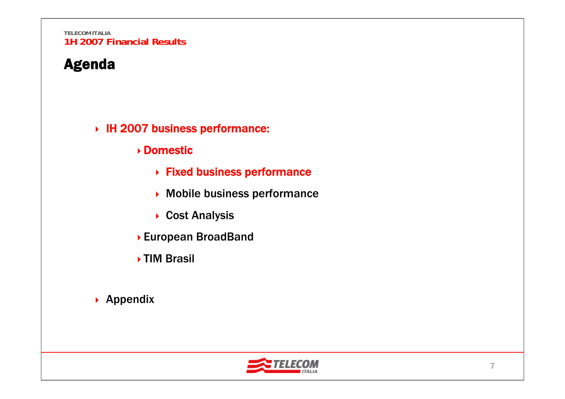# Agenda

#### IH 2007 business performance:

- Domestic
	- Fixed business performance
	- Mobile business performance
	- ▶ Cost Analysis
- European BroadBand
- ▶ TIM Brasil
- ▶ Appendix

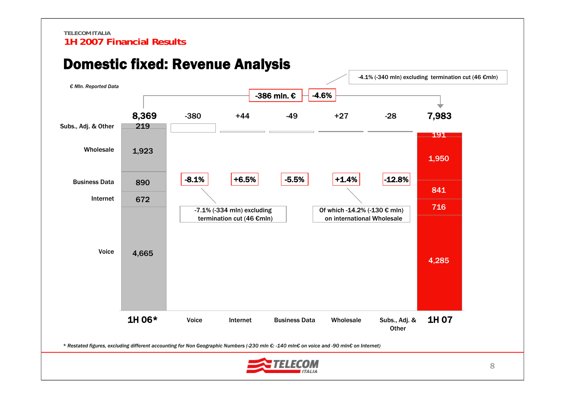

### Domestic fixed: Revenue Analysis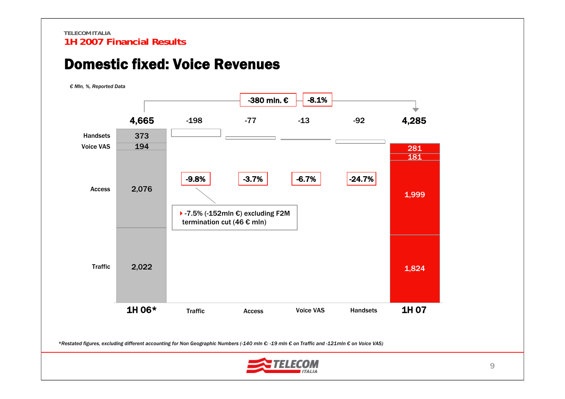### Domestic fixed: Voice Revenues

*€ Mln, %, Reported Data*



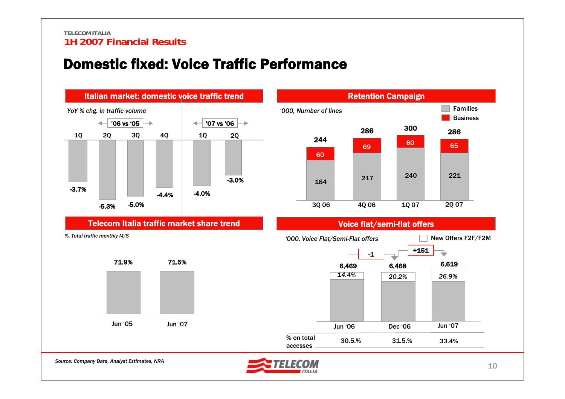### Domestic fixed: Voice Traffic Performance

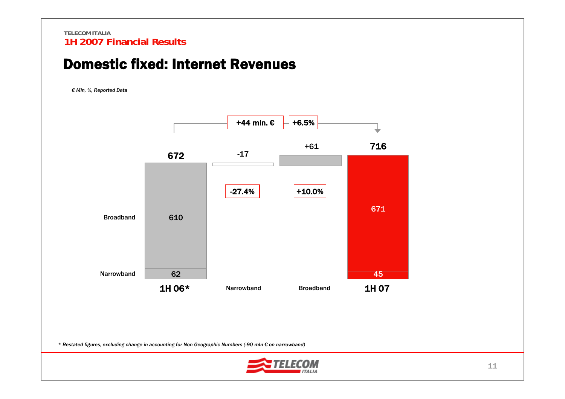### Domestic fixed: Internet Revenues

*€ Mln, %, Reported Data*



*\* Restated figures, excluding change in accounting for Non Geographic Numbers (-90 mln € on narrowband)*

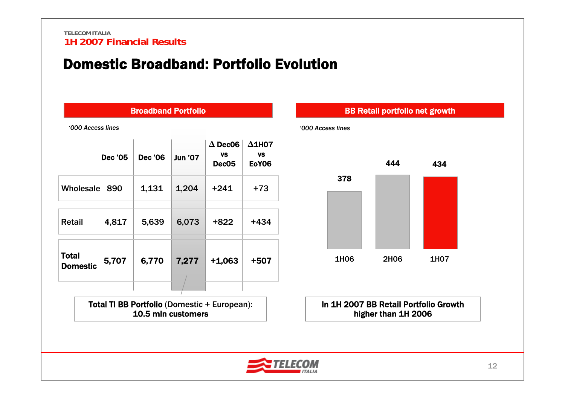### Domestic Broadband: Portfolio Evolution

|                          |                | <b>Broadband Portfolio</b> |                |                                                     |                                            |
|--------------------------|----------------|----------------------------|----------------|-----------------------------------------------------|--------------------------------------------|
| '000 Access lines        |                |                            |                |                                                     |                                            |
|                          | <b>Dec '05</b> | <b>Dec '06</b>             | <b>Jun '07</b> | $\Delta$ Dec06<br><b>VS</b><br>Dec <sub>05</sub>    | $\Delta$ 1HO7<br><b>VS</b><br><b>EoY06</b> |
| Wholesale                | 890            | 1,131                      | 1,204          | $+241$                                              | +73                                        |
| Retail                   | 4,817          | 5,639                      | 6,073          | +822                                                | $+434$                                     |
| Total<br><b>Domestic</b> | 5,707          | 6,770                      | 7,277          | $+1,063$                                            | +507                                       |
|                          |                |                            |                | <b>Total TI BB Portfolio (Domestic + European):</b> |                                            |

10.5 mln customers



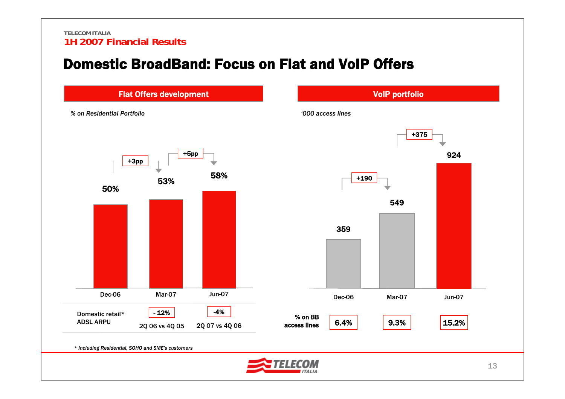### Domestic BroadBand: Focus on Flat and VoIP Offers

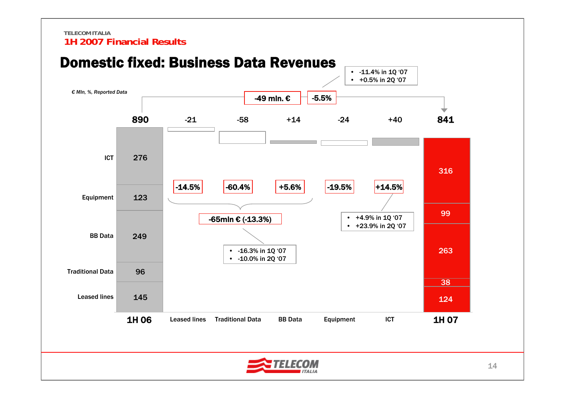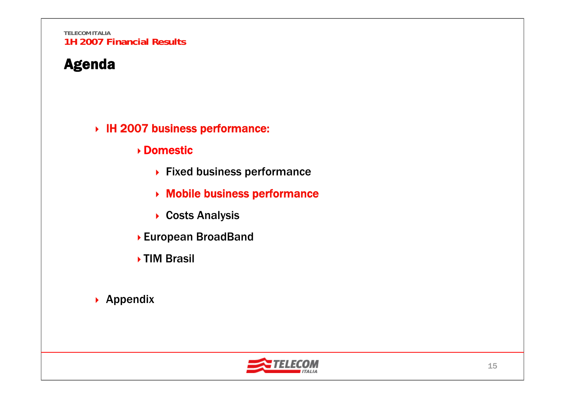# Agenda

#### IH 2007 business performance:

#### Domestic

- ▶ Fixed business performance
- Mobile business performance
- ▶ Costs Analysis
- European BroadBand
- ▶ TIM Brasil
- ▶ Appendix

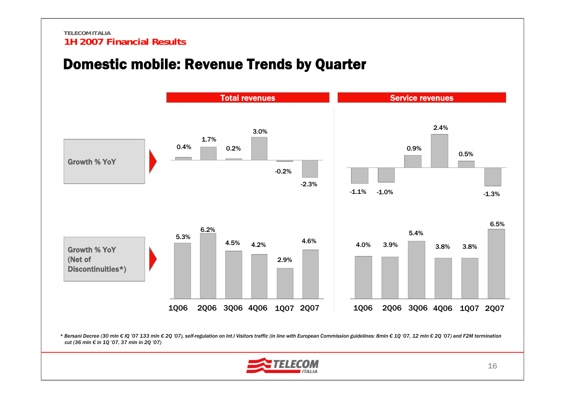### Domestic mobile: Revenue Trends by Quarter

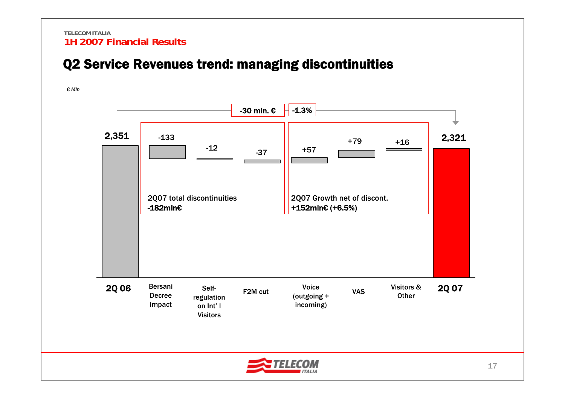### Q2 Service Revenues trend: managing discontinuities

*€ Mln*

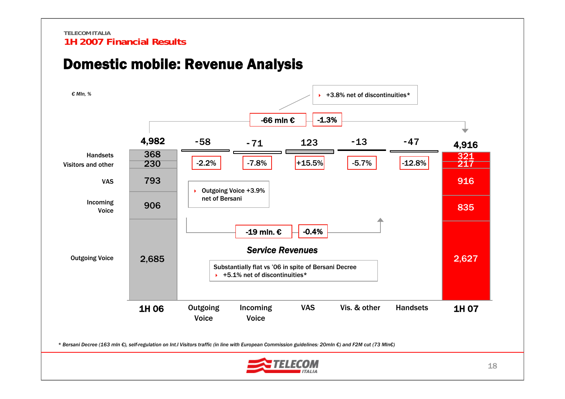

### Domestic mobile: Revenue Analysis

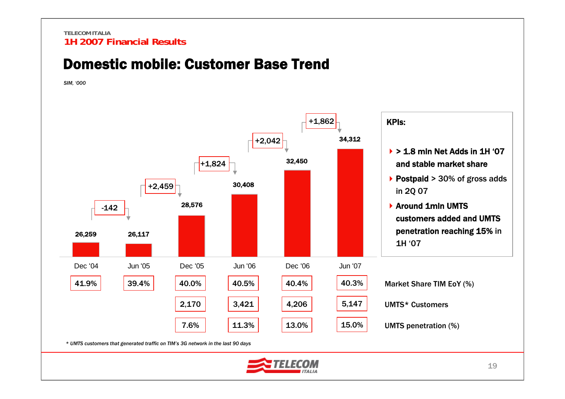### Domestic mobile: Customer Base Trend

*SIM, '000*



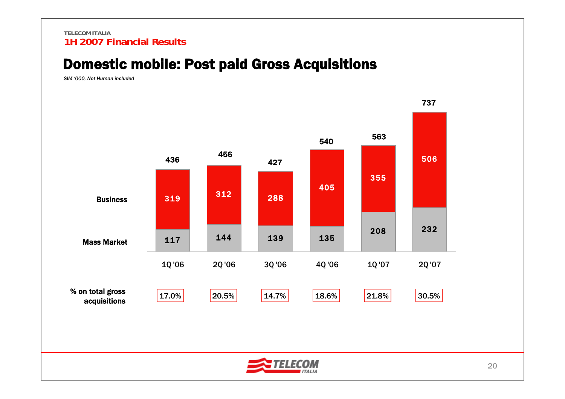### Domestic mobile: Post paid Gross Acquisitions

*SIM '000, Not Human included*



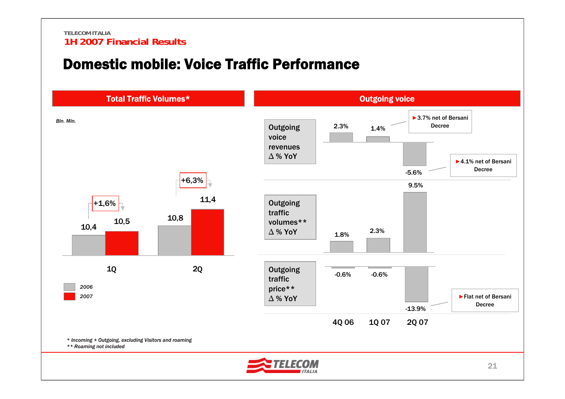### Domestic mobile: Voice Traffic Performance

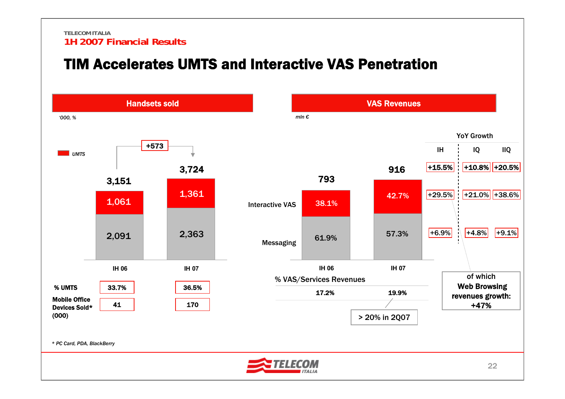### TIM Accelerates UMTS and Interactive VAS Penetration

![](_page_22_Figure_2.jpeg)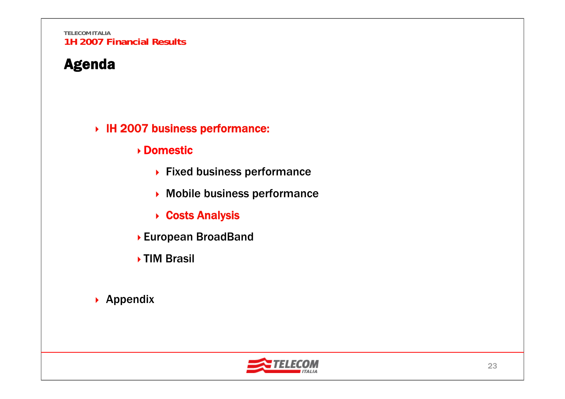# Agenda

#### IH 2007 business performance:

#### Domestic

- ▶ Fixed business performance
- Mobile business performance
- **▶ Costs Analysis**
- European BroadBand
- ▶ TIM Brasil
- ▶ Appendix

![](_page_23_Picture_10.jpeg)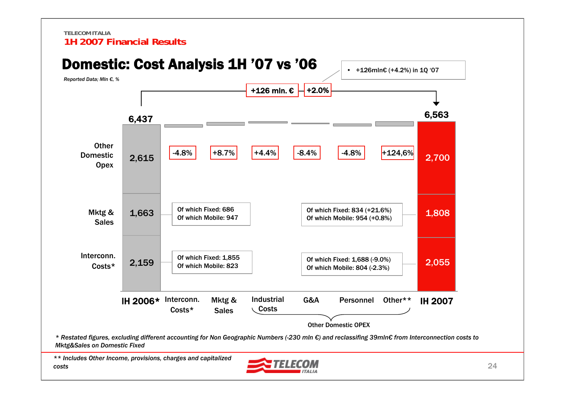![](_page_24_Figure_1.jpeg)

*\*\* Includes Other Income, provisions, charges and capitalized costs*

![](_page_24_Picture_3.jpeg)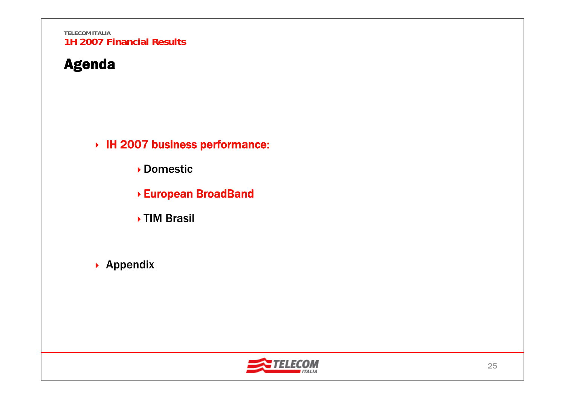### Agenda

IH 2007 business performance:

Domestic

- European BroadBand
- **▶TIM Brasil**
- ▶ Appendix

![](_page_25_Picture_7.jpeg)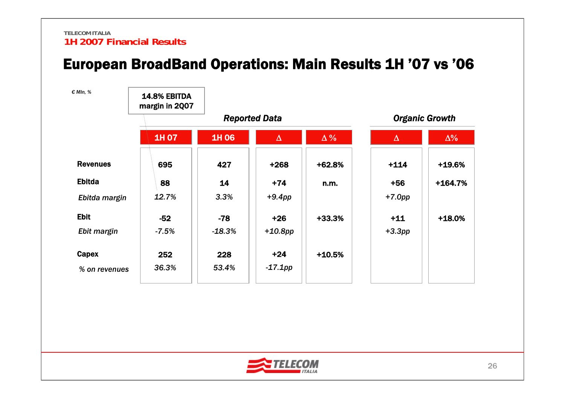### European BroadBand Operations: Main Results 1H '07 vs '06

| € MIn, %        | <b>14.8% EBITDA</b><br>margin in 2007 |          |                      |            |           |                       |
|-----------------|---------------------------------------|----------|----------------------|------------|-----------|-----------------------|
|                 |                                       |          | <b>Reported Data</b> |            |           | <b>Organic Growth</b> |
|                 | 1H 07                                 | 1H 06    | $\Delta$             | $\Delta\%$ | $\Delta$  | $\Delta\%$            |
| <b>Revenues</b> | 695                                   | 427      | $+268$               | $+62.8%$   | $+114$    | +19.6%                |
| <b>Ebitda</b>   | 88                                    | 14       | $+74$                | n.m.       | $+56$     | $+164.7%$             |
| Ebitda margin   | 12.7%                                 | 3.3%     | $+9.4$ pp            |            | $+7.0$ pp |                       |
| <b>Ebit</b>     | $-52$                                 | $-78$    | $+26$                | +33.3%     | $+11$     | $+18.0%$              |
| Ebit margin     | $-7.5%$                               | $-18.3%$ | $+10.8$ pp           |            | $+3.3pp$  |                       |
| Capex           | 252                                   | 228      | $+24$                | $+10.5%$   |           |                       |
| % on revenues   | 36.3%                                 | 53.4%    | $-17.1$ pp           |            |           |                       |

![](_page_26_Picture_3.jpeg)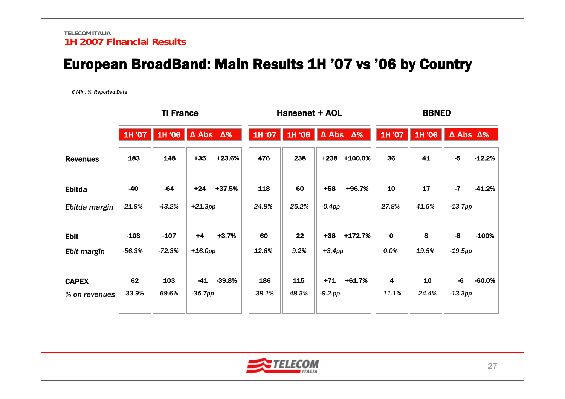# European BroadBand: Main Results 1H '07 vs '06 by Country

*€ Mln, %, Reported Data*

|                 | <b>TI France</b> |                     |           | Hansenet + AOL |        |        |                               | <b>BBNED</b> |             |        |                               |          |
|-----------------|------------------|---------------------|-----------|----------------|--------|--------|-------------------------------|--------------|-------------|--------|-------------------------------|----------|
|                 | 1H '07           | 1H '06   Δ Abs   Δ% |           |                | 1H '07 | 1H '06 | $\triangle$ Abs $\triangle$ % |              | 1H '07      | 1H '06 | $\triangle$ Abs $\triangle\%$ |          |
| <b>Revenues</b> | 183              | 148                 | $+35$     | +23.6%         | 476    | 238    | $+238$                        | $+100.0%$    | 36          | 41     | $-5$                          | $-12.2%$ |
| <b>Ebitda</b>   | $-40$            | $-64$               | $+24$     | +37.5%         | 118    | 60     | $+58$                         | +96.7%       | 10          | 17     | $-7$                          | $-41.2%$ |
| Ebitda margin   | $-21.9%$         | $-43.2%$            | $+21.3pp$ |                | 24.8%  | 25.2%  | $-0.4pp$                      |              | 27.8%       | 41.5%  | $-13.7pp$                     |          |
| <b>Ebit</b>     | $-103$           | $-107$              | $+4$      | $+3.7%$        | 60     | 22     | $+38$                         | $+172.7%$    | $\mathbf 0$ | 8      | $-8$                          | $-100%$  |
| Ebit margin     | $-56.3%$         | $-72.3%$            | $+16.0pp$ |                | 12.6%  | 9.2%   | $+3.4pp$                      |              | 0.0%        | 19.5%  | $-19.5$ pp                    |          |
| <b>CAPEX</b>    | 62               | 103                 | $-41$     | $-39.8%$       | 186    | 115    | $+71$                         | $+61.7%$     | 4           | 10     | -6                            | $-60.0%$ |
| % on revenues   | 33.9%            | 69.6%               | $-35.7pp$ |                | 39.1%  | 48.3%  | $-9.2$ .pp                    |              | 11.1%       | 24.4%  | $-13.3pp$                     |          |
|                 |                  |                     |           |                |        |        |                               |              |             |        |                               |          |

![](_page_27_Picture_4.jpeg)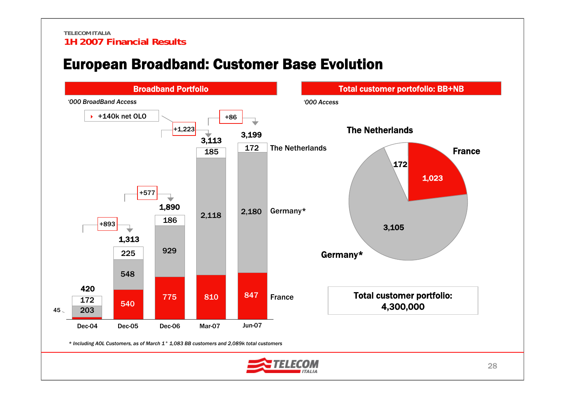### European Broadband: Customer Base Evolution

![](_page_28_Figure_2.jpeg)

![](_page_28_Picture_3.jpeg)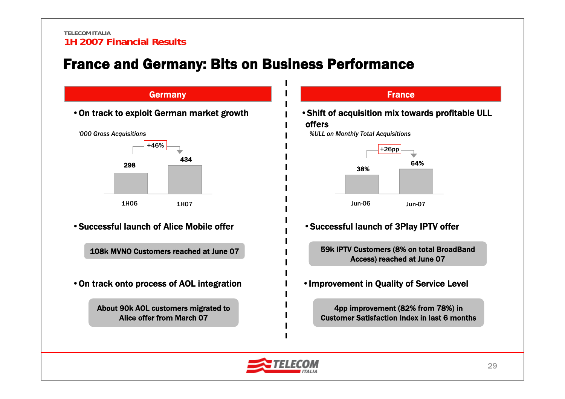# France and Germany: Bits on Business Performance

![](_page_29_Figure_2.jpeg)

![](_page_29_Figure_3.jpeg)

![](_page_29_Picture_4.jpeg)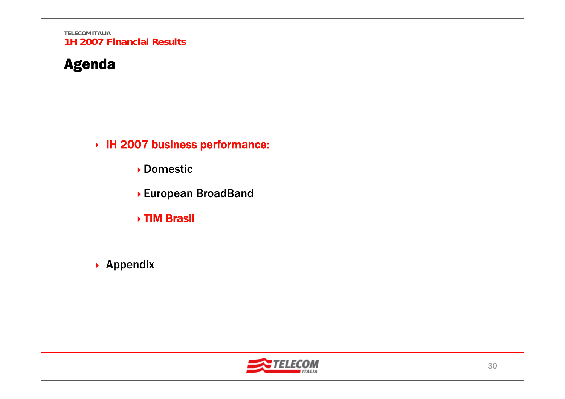### Agenda

IH 2007 business performance:

Domestic

- European BroadBand
- TIM Brasil
- ▶ Appendix

![](_page_30_Picture_7.jpeg)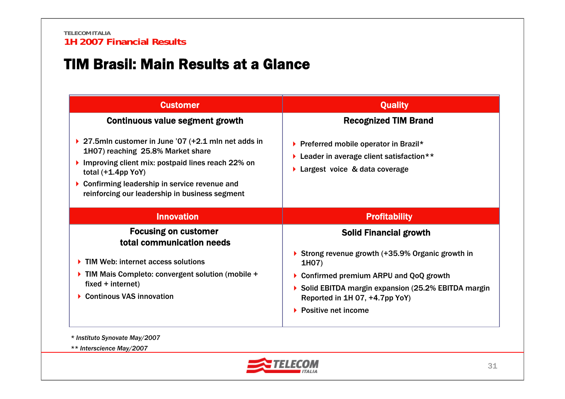### TIM Brasil: Main Results at a Glance

| <b>Quality</b>                                                                                                               |
|------------------------------------------------------------------------------------------------------------------------------|
| <b>Recognized TIM Brand</b>                                                                                                  |
| ▶ Preferred mobile operator in Brazil*<br><b>Leader in average client satisfaction</b> **<br>▶ Largest voice & data coverage |
| <b>Profitability</b>                                                                                                         |
| <b>Solid Financial growth</b>                                                                                                |
| Strong revenue growth $(+35.9\%$ Organic growth in                                                                           |
| 1H07)                                                                                                                        |
| Confirmed premium ARPU and QoQ growth                                                                                        |
| Solid EBITDA margin expansion (25.2% EBITDA margin<br>Reported in 1H 07, +4.7pp YoY)                                         |
|                                                                                                                              |

*\* Instituto Synovate May/2007*

*\*\* Interscience May/2007*

![](_page_31_Picture_5.jpeg)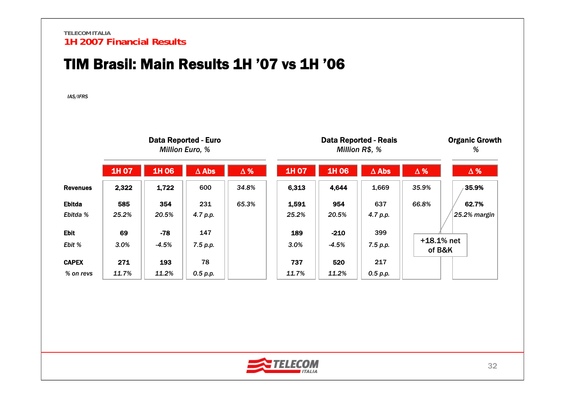### TIM Brasil: Main Results 1H '07 vs 1H '06

*IAS/IFRS*

|                           |              |                  | <b>Data Reported - Euro</b><br><b>Million Euro, %</b> |            |                |                    | <b>Data Reported - Reais</b><br>Million R\$, % |                        | <b>Organic Growth</b><br>% |
|---------------------------|--------------|------------------|-------------------------------------------------------|------------|----------------|--------------------|------------------------------------------------|------------------------|----------------------------|
|                           | 1H 07        | 1H 06            | $\Delta$ Abs                                          | $\Delta$ % | 1H 07          | 1H 06              | $\Delta$ Abs                                   | $\Delta$ %             | $\Delta$ %                 |
| <b>Revenues</b>           | 2,322        | 1,722            | 600                                                   | 34.8%      | 6,313          | 4,644              | 1,669                                          | 35.9%                  | 35.9%                      |
| <b>Ebitda</b><br>Ebitda % | 585<br>25.2% | 354<br>20.5%     | 231<br>4.7 p.p.                                       | 65.3%      | 1,591<br>25.2% | 954<br>20.5%       | 637<br>4.7 p.p.                                | 66.8%                  | 62.7%<br>25.2% margin      |
| <b>Ebit</b><br>Ebit %     | 69<br>3.0%   | $-78$<br>$-4.5%$ | 147<br>7.5 p.p.                                       |            | 189<br>3.0%    | $-210$<br>$-4.5\%$ | 399<br>7.5 p.p.                                | $+18.1%$ net<br>of B&K |                            |
| <b>CAPEX</b><br>% on revs | 271<br>11.7% | 193<br>11.2%     | 78<br>0.5 p.p.                                        |            | 737<br>11.7%   | 520<br>11.2%       | 217<br>0.5 p.p.                                |                        |                            |

![](_page_32_Picture_4.jpeg)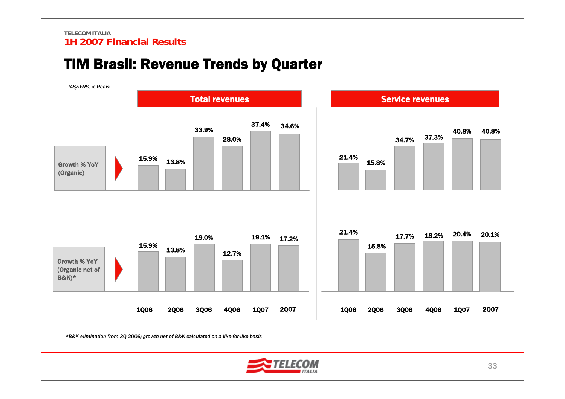### TIM Brasil: Revenue Trends by Quarter

![](_page_33_Figure_2.jpeg)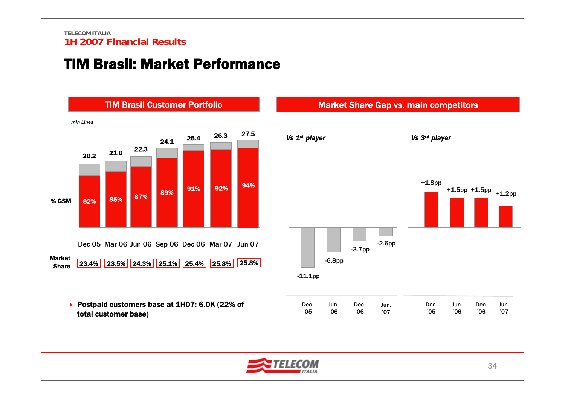### TIM Brasil: Market Performance

![](_page_34_Figure_2.jpeg)

![](_page_34_Figure_3.jpeg)

![](_page_34_Picture_4.jpeg)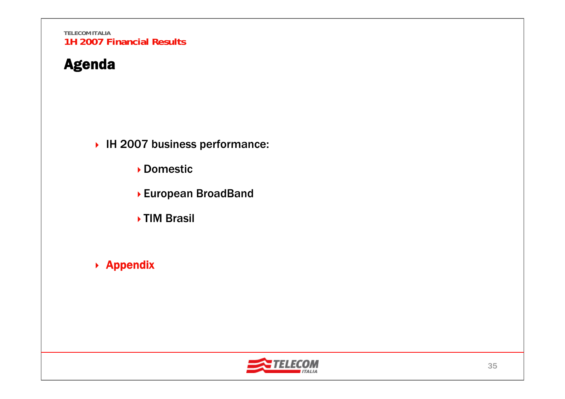# Agenda

▶ IH 2007 business performance:

Domestic

- European BroadBand
- **▶TIM Brasil**
- ▶ Appendix

![](_page_35_Picture_7.jpeg)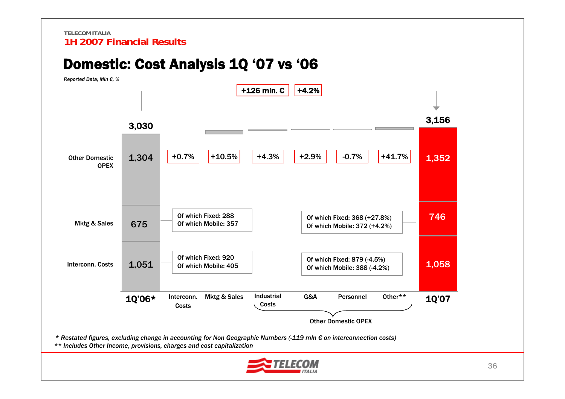### Domestic: Cost Analysis 1Q '07 vs '06

![](_page_36_Figure_2.jpeg)

![](_page_36_Picture_3.jpeg)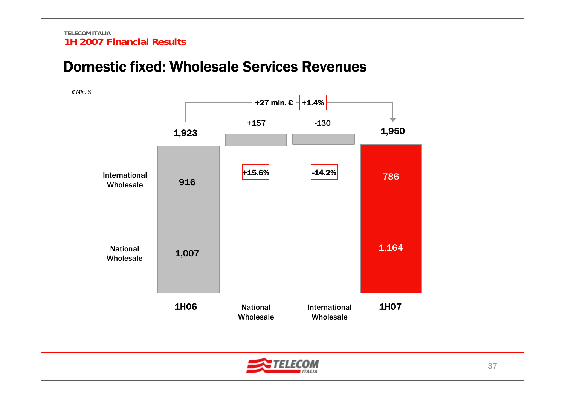### Domestic fixed: Wholesale Services Revenues

![](_page_37_Figure_2.jpeg)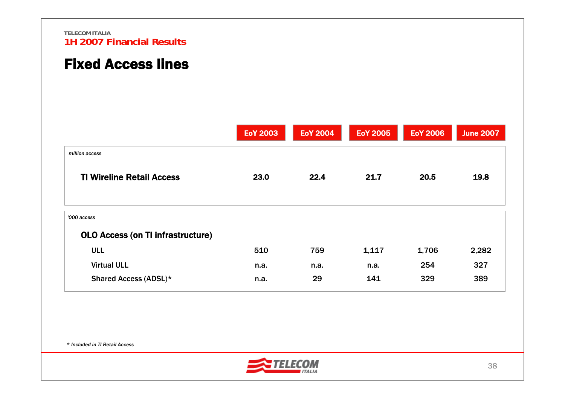# Fixed Access lines

|                                          | <b>EoY 2003</b> | <b>EoY 2004</b> | <b>EoY 2005</b> | <b>EoY 2006</b> | <b>June 2007</b> |
|------------------------------------------|-----------------|-----------------|-----------------|-----------------|------------------|
| million access                           |                 |                 |                 |                 |                  |
| <b>TI Wireline Retail Access</b>         | 23.0            | 22.4            | 21.7            | 20.5            | 19.8             |
| '000 access                              |                 |                 |                 |                 |                  |
| <b>OLO Access (on TI infrastructure)</b> |                 |                 |                 |                 |                  |
| <b>ULL</b>                               | 510             | 759             | 1,117           | 1,706           | 2,282            |
| <b>Virtual ULL</b>                       | n.a.            | n.a.            | n.a.            | 254             | 327              |
| Shared Access (ADSL)*                    | n.a.            | 29              | 141             | 329             | 389              |

*\* Included in TI Retail Access*

![](_page_38_Picture_4.jpeg)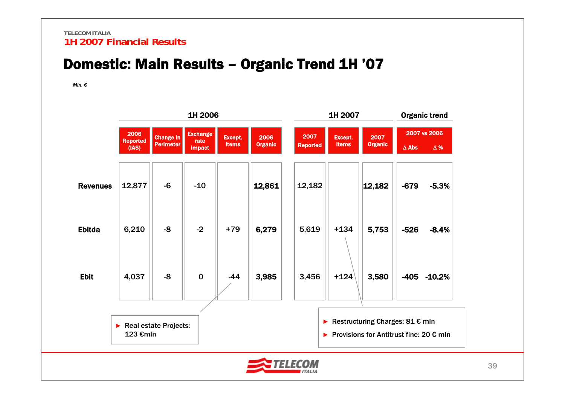# Domestic: Main Results – Organic Trend 1H '07

*Mln. €*

|                 |                                   |                                      | 1H 2006                                  |                         |                        |                         | 1H 2007                 | <b>Organic trend</b>                                                                           |              |                            |
|-----------------|-----------------------------------|--------------------------------------|------------------------------------------|-------------------------|------------------------|-------------------------|-------------------------|------------------------------------------------------------------------------------------------|--------------|----------------------------|
|                 | 2006<br><b>Reported</b><br>(IAS)  | <b>Change in</b><br><b>Perimeter</b> | <b>Exchange</b><br>rate<br><b>impact</b> | Except.<br><b>items</b> | 2006<br><b>Organic</b> | 2007<br><b>Reported</b> | Except.<br><b>items</b> | 2007<br><b>Organic</b>                                                                         | $\Delta$ Abs | 2007 vs 2006<br>$\Delta$ % |
|                 |                                   |                                      |                                          |                         |                        |                         |                         |                                                                                                |              |                            |
| <b>Revenues</b> | 12,877                            | $-6$                                 | $-10$                                    |                         | 12,861                 | 12,182                  |                         | 12,182                                                                                         | $-679$       | $-5.3%$                    |
| <b>Ebitda</b>   | 6,210                             | -8                                   | $-2$                                     | $+79$                   | 6,279                  | 5,619                   | $+134$                  | 5,753                                                                                          | $-526$       | $-8.4%$                    |
| <b>Ebit</b>     | 4,037                             | $-8$                                 | $\mathbf 0$                              | $-44$                   | 3,985                  | 3,456                   | $+124$                  | 3,580                                                                                          | -405         | $-10.2%$                   |
|                 | Real estate Projects:<br>123 €mln |                                      |                                          |                         |                        | ▶                       |                         | Restructuring Charges: $81 \text{ } \in \text{mln}$<br>Provisions for Antitrust fine: 20 € mln |              |                            |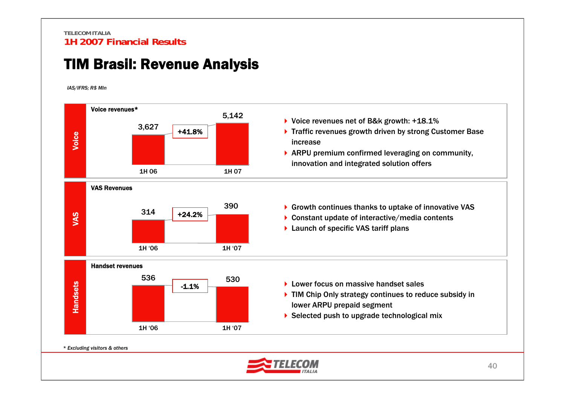### TIM Brasil: Revenue Analysis

*IAS/IFRS; R\$ Mln*

![](_page_40_Figure_3.jpeg)

*\* Excluding visitors & others*

![](_page_40_Picture_5.jpeg)